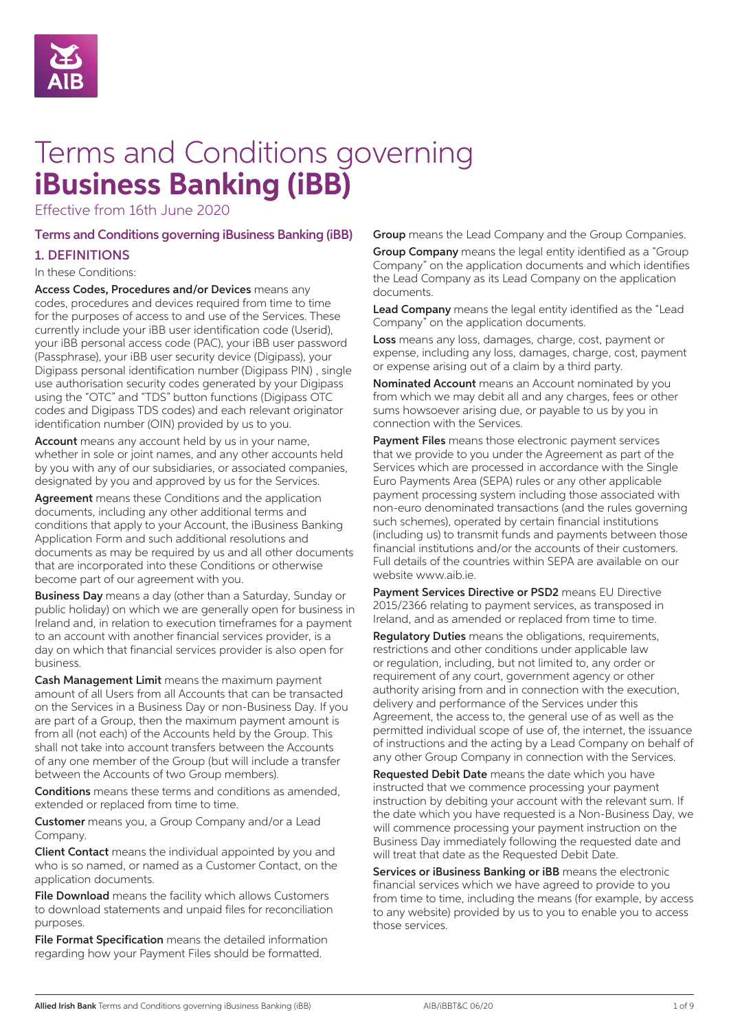

# Terms and Conditions governing **iBusiness Banking (iBB)**

Effective from 16th June 2020

# Terms and Conditions governing iBusiness Banking (iBB) 1. DEFINITIONS

#### In these Conditions:

Access Codes, Procedures and/or Devices means any codes, procedures and devices required from time to time for the purposes of access to and use of the Services. These currently include your iBB user identification code (Userid), your iBB personal access code (PAC), your iBB user password (Passphrase), your iBB user security device (Digipass), your Digipass personal identification number (Digipass PIN) , single use authorisation security codes generated by your Digipass using the "OTC" and "TDS" button functions (Digipass OTC codes and Digipass TDS codes) and each relevant originator identification number (OIN) provided by us to you.

Account means any account held by us in your name, whether in sole or joint names, and any other accounts held by you with any of our subsidiaries, or associated companies, designated by you and approved by us for the Services.

Agreement means these Conditions and the application documents, including any other additional terms and conditions that apply to your Account, the iBusiness Banking Application Form and such additional resolutions and documents as may be required by us and all other documents that are incorporated into these Conditions or otherwise become part of our agreement with you.

Business Day means a day (other than a Saturday, Sunday or public holiday) on which we are generally open for business in Ireland and, in relation to execution timeframes for a payment to an account with another financial services provider, is a day on which that financial services provider is also open for business.

Cash Management Limit means the maximum payment amount of all Users from all Accounts that can be transacted on the Services in a Business Day or non-Business Day. If you are part of a Group, then the maximum payment amount is from all (not each) of the Accounts held by the Group. This shall not take into account transfers between the Accounts of any one member of the Group (but will include a transfer between the Accounts of two Group members).

Conditions means these terms and conditions as amended, extended or replaced from time to time.

Customer means you, a Group Company and/or a Lead Company.

Client Contact means the individual appointed by you and who is so named, or named as a Customer Contact, on the application documents.

File Download means the facility which allows Customers to download statements and unpaid files for reconciliation purposes.

File Format Specification means the detailed information regarding how your Payment Files should be formatted.

Group means the Lead Company and the Group Companies. **Group Company** means the legal entity identified as a "Group" Company" on the application documents and which identifies the Lead Company as its Lead Company on the application documents.

Lead Company means the legal entity identified as the "Lead Company" on the application documents.

Loss means any loss, damages, charge, cost, payment or expense, including any loss, damages, charge, cost, payment or expense arising out of a claim by a third party.

Nominated Account means an Account nominated by you from which we may debit all and any charges, fees or other sums howsoever arising due, or payable to us by you in connection with the Services.

Payment Files means those electronic payment services that we provide to you under the Agreement as part of the Services which are processed in accordance with the Single Euro Payments Area (SEPA) rules or any other applicable payment processing system including those associated with non-euro denominated transactions (and the rules governing such schemes), operated by certain financial institutions (including us) to transmit funds and payments between those financial institutions and/or the accounts of their customers. Full details of the countries within SEPA are available on our website www.aib.ie.

Payment Services Directive or PSD2 means EU Directive 2015/2366 relating to payment services, as transposed in Ireland, and as amended or replaced from time to time.

Regulatory Duties means the obligations, requirements, restrictions and other conditions under applicable law or regulation, including, but not limited to, any order or requirement of any court, government agency or other authority arising from and in connection with the execution, delivery and performance of the Services under this Agreement, the access to, the general use of as well as the permitted individual scope of use of, the internet, the issuance of instructions and the acting by a Lead Company on behalf of any other Group Company in connection with the Services.

Requested Debit Date means the date which you have instructed that we commence processing your payment instruction by debiting your account with the relevant sum. If the date which you have requested is a Non-Business Day, we will commence processing your payment instruction on the Business Day immediately following the requested date and will treat that date as the Requested Debit Date.

Services or iBusiness Banking or iBB means the electronic financial services which we have agreed to provide to you from time to time, including the means (for example, by access to any website) provided by us to you to enable you to access those services.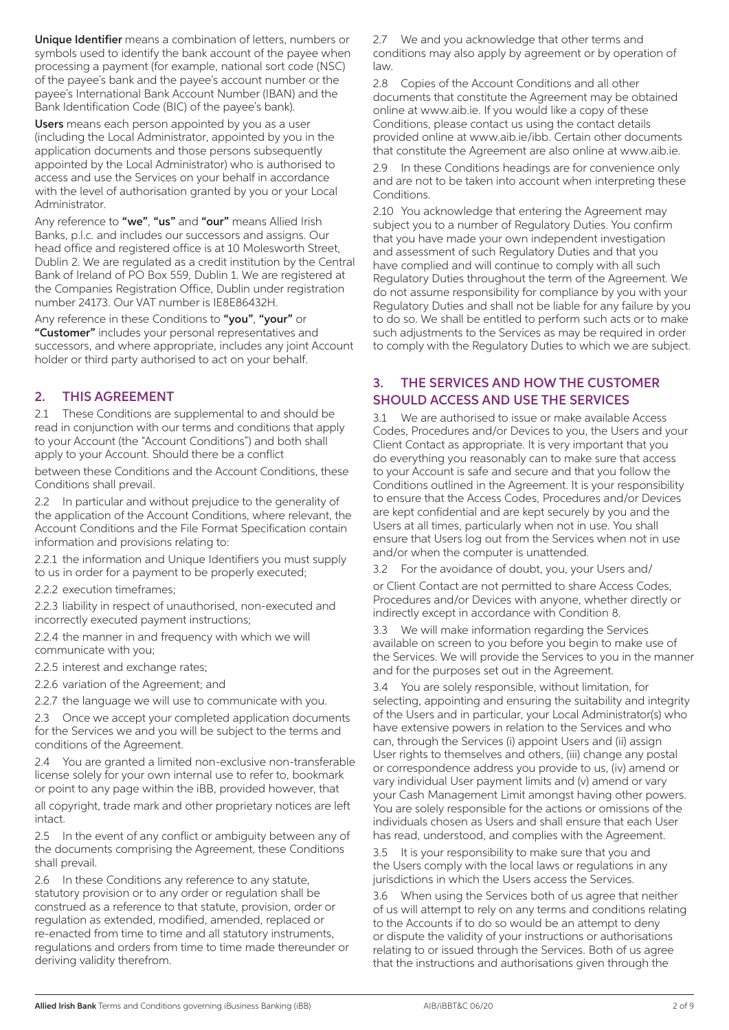Unique Identifier means a combination of letters, numbers or symbols used to identify the bank account of the payee when processing a payment (for example, national sort code (NSC) of the payee's bank and the payee's account number or the payee's International Bank Account Number (IBAN) and the Bank Identification Code (BIC) of the payee's bank).

Users means each person appointed by you as a user (including the Local Administrator, appointed by you in the application documents and those persons subsequently appointed by the Local Administrator) who is authorised to access and use the Services on your behalf in accordance with the level of authorisation granted by you or your Local Administrator.

Any reference to "we", "us" and "our" means Allied Irish Banks, p.l.c. and includes our successors and assigns. Our head office and registered office is at 10 Molesworth Street, Dublin 2. We are regulated as a credit institution by the Central Bank of Ireland of PO Box 559, Dublin 1. We are registered at the Companies Registration Office, Dublin under registration number 24173. Our VAT number is IE8E86432H.

Any reference in these Conditions to "you", "your" or "Customer" includes your personal representatives and successors, and where appropriate, includes any joint Account holder or third party authorised to act on your behalf.

# 2. THIS AGREEMENT

2.1 These Conditions are supplemental to and should be read in conjunction with our terms and conditions that apply to your Account (the "Account Conditions") and both shall apply to your Account. Should there be a conflict

between these Conditions and the Account Conditions, these Conditions shall prevail.

2.2 In particular and without prejudice to the generality of the application of the Account Conditions, where relevant, the Account Conditions and the File Format Specification contain information and provisions relating to:

2.2.1 the information and Unique Identifiers you must supply to us in order for a payment to be properly executed;

2.2.2 execution timeframes;

2.2.3 liability in respect of unauthorised, non-executed and incorrectly executed payment instructions;

2.2.4 the manner in and frequency with which we will communicate with you;

2.2.5 interest and exchange rates;

2.2.6 variation of the Agreement; and

2.2.7 the language we will use to communicate with you.

Once we accept your completed application documents for the Services we and you will be subject to the terms and conditions of the Agreement.

2.4 You are granted a limited non-exclusive non-transferable license solely for your own internal use to refer to, bookmark or point to any page within the iBB, provided however, that

all copyright, trade mark and other proprietary notices are left intact.

2.5 In the event of any conflict or ambiguity between any of the documents comprising the Agreement, these Conditions shall prevail.

2.6 In these Conditions any reference to any statute, statutory provision or to any order or regulation shall be construed as a reference to that statute, provision, order or regulation as extended, modified, amended, replaced or re-enacted from time to time and all statutory instruments, regulations and orders from time to time made thereunder or deriving validity therefrom.

2.7 We and you acknowledge that other terms and conditions may also apply by agreement or by operation of law.

2.8 Copies of the Account Conditions and all other documents that constitute the Agreement may be obtained online at www.aib.ie. If you would like a copy of these Conditions, please contact us using the contact details provided online at www.aib.ie/ibb. Certain other documents that constitute the Agreement are also online at www.aib.ie.

2.9 In these Conditions headings are for convenience only and are not to be taken into account when interpreting these Conditions.

2.10 You acknowledge that entering the Agreement may subject you to a number of Regulatory Duties. You confirm that you have made your own independent investigation and assessment of such Regulatory Duties and that you have complied and will continue to comply with all such Regulatory Duties throughout the term of the Agreement. We do not assume responsibility for compliance by you with your Regulatory Duties and shall not be liable for any failure by you to do so. We shall be entitled to perform such acts or to make such adjustments to the Services as may be required in order to comply with the Regulatory Duties to which we are subject.

## 3. THE SERVICES AND HOW THE CUSTOMER SHOULD ACCESS AND USE THE SERVICES

3.1 We are authorised to issue or make available Access Codes, Procedures and/or Devices to you, the Users and your Client Contact as appropriate. It is very important that you do everything you reasonably can to make sure that access to your Account is safe and secure and that you follow the Conditions outlined in the Agreement. It is your responsibility to ensure that the Access Codes, Procedures and/or Devices are kept confidential and are kept securely by you and the Users at all times, particularly when not in use. You shall ensure that Users log out from the Services when not in use and/or when the computer is unattended.

3.2 For the avoidance of doubt, you, your Users and/ or Client Contact are not permitted to share Access Codes, Procedures and/or Devices with anyone, whether directly or indirectly except in accordance with Condition 8.

3.3 We will make information regarding the Services available on screen to you before you begin to make use of the Services. We will provide the Services to you in the manner and for the purposes set out in the Agreement.

3.4 You are solely responsible, without limitation, for selecting, appointing and ensuring the suitability and integrity of the Users and in particular, your Local Administrator(s) who have extensive powers in relation to the Services and who can, through the Services (i) appoint Users and (ii) assign User rights to themselves and others, (iii) change any postal or correspondence address you provide to us, (iv) amend or vary individual User payment limits and (v) amend or vary your Cash Management Limit amongst having other powers. You are solely responsible for the actions or omissions of the individuals chosen as Users and shall ensure that each User has read, understood, and complies with the Agreement.

3.5 It is your responsibility to make sure that you and the Users comply with the local laws or regulations in any jurisdictions in which the Users access the Services.

3.6 When using the Services both of us agree that neither of us will attempt to rely on any terms and conditions relating to the Accounts if to do so would be an attempt to deny or dispute the validity of your instructions or authorisations relating to or issued through the Services. Both of us agree that the instructions and authorisations given through the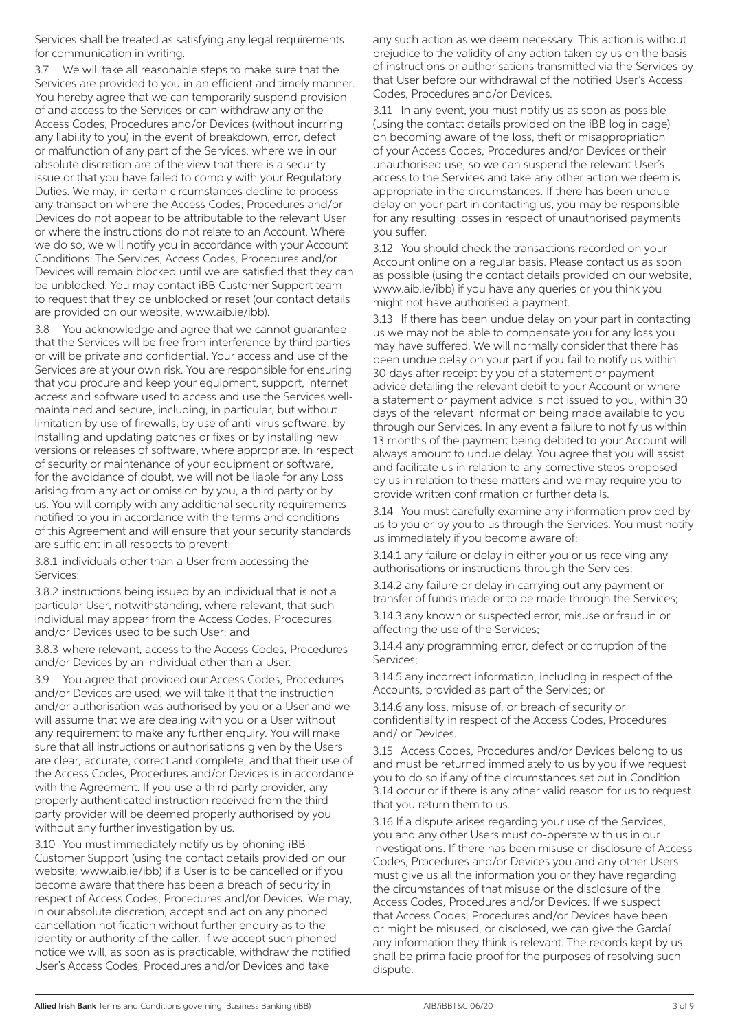Services shall be treated as satisfying any legal requirements for communication in writing.

3.7 We will take all reasonable steps to make sure that the Services are provided to you in an efficient and timely manner. You hereby agree that we can temporarily suspend provision of and access to the Services or can withdraw any of the Access Codes, Procedures and/or Devices (without incurring any liability to you) in the event of breakdown, error, defect or malfunction of any part of the Services, where we in our absolute discretion are of the view that there is a security issue or that you have failed to comply with your Regulatory Duties. We may, in certain circumstances decline to process any transaction where the Access Codes, Procedures and/or Devices do not appear to be attributable to the relevant User or where the instructions do not relate to an Account. Where we do so, we will notify you in accordance with your Account Conditions. The Services, Access Codes, Procedures and/or Devices will remain blocked until we are satisfied that they can be unblocked. You may contact iBB Customer Support team to request that they be unblocked or reset (our contact details are provided on our website, www.aib.ie/ibb).

You acknowledge and agree that we cannot guarantee that the Services will be free from interference by third parties or will be private and confidential. Your access and use of the Services are at your own risk. You are responsible for ensuring that you procure and keep your equipment, support, internet access and software used to access and use the Services wellmaintained and secure, including, in particular, but without limitation by use of firewalls, by use of anti-virus software, by installing and updating patches or fixes or by installing new versions or releases of software, where appropriate. In respect of security or maintenance of your equipment or software, for the avoidance of doubt, we will not be liable for any Loss arising from any act or omission by you, a third party or by us. You will comply with any additional security requirements notified to you in accordance with the terms and conditions of this Agreement and will ensure that your security standards are sufficient in all respects to prevent:

3.8.1 individuals other than a User from accessing the Services;

3.8.2 instructions being issued by an individual that is not a particular User, notwithstanding, where relevant, that such individual may appear from the Access Codes, Procedures and/or Devices used to be such User; and

3.8.3 where relevant, access to the Access Codes, Procedures and/or Devices by an individual other than a User.

3.9 You agree that provided our Access Codes, Procedures and/or Devices are used, we will take it that the instruction and/or authorisation was authorised by you or a User and we will assume that we are dealing with you or a User without any requirement to make any further enquiry. You will make sure that all instructions or authorisations given by the Users are clear, accurate, correct and complete, and that their use of the Access Codes, Procedures and/or Devices is in accordance with the Agreement. If you use a third party provider, any properly authenticated instruction received from the third party provider will be deemed properly authorised by you without any further investigation by us.

3.10 You must immediately notify us by phoning iBB Customer Support (using the contact details provided on our website, www.aib.ie/ibb) if a User is to be cancelled or if you become aware that there has been a breach of security in respect of Access Codes, Procedures and/or Devices. We may, in our absolute discretion, accept and act on any phoned cancellation notification without further enquiry as to the identity or authority of the caller. If we accept such phoned notice we will, as soon as is practicable, withdraw the notified User's Access Codes, Procedures and/or Devices and take

any such action as we deem necessary. This action is without prejudice to the validity of any action taken by us on the basis of instructions or authorisations transmitted via the Services by that User before our withdrawal of the notified User's Access Codes, Procedures and/or Devices.

3.11 In any event, you must notify us as soon as possible (using the contact details provided on the iBB log in page) on becoming aware of the loss, theft or misappropriation of your Access Codes, Procedures and/or Devices or their unauthorised use, so we can suspend the relevant User's access to the Services and take any other action we deem is appropriate in the circumstances. If there has been undue delay on your part in contacting us, you may be responsible for any resulting losses in respect of unauthorised payments you suffer.

3.12 You should check the transactions recorded on your Account online on a regular basis. Please contact us as soon as possible (using the contact details provided on our website, www.aib.ie/ibb) if you have any queries or you think you might not have authorised a payment.

3.13 If there has been undue delay on your part in contacting us we may not be able to compensate you for any loss you may have suffered. We will normally consider that there has been undue delay on your part if you fail to notify us within 30 days after receipt by you of a statement or payment advice detailing the relevant debit to your Account or where a statement or payment advice is not issued to you, within 30 days of the relevant information being made available to you through our Services. In any event a failure to notify us within 13 months of the payment being debited to your Account will always amount to undue delay. You agree that you will assist and facilitate us in relation to any corrective steps proposed by us in relation to these matters and we may require you to provide written confirmation or further details.

3.14 You must carefully examine any information provided by us to you or by you to us through the Services. You must notify us immediately if you become aware of:

3.14.1 any failure or delay in either you or us receiving any authorisations or instructions through the Services;

3.14.2 any failure or delay in carrying out any payment or transfer of funds made or to be made through the Services;

3.14.3 any known or suspected error, misuse or fraud in or affecting the use of the Services;

3.14.4 any programming error, defect or corruption of the Services;

3.14.5 any incorrect information, including in respect of the Accounts, provided as part of the Services; or

3.14.6 any loss, misuse of, or breach of security or confidentiality in respect of the Access Codes, Procedures and/ or Devices.

3.15 Access Codes, Procedures and/or Devices belong to us and must be returned immediately to us by you if we request you to do so if any of the circumstances set out in Condition 3.14 occur or if there is any other valid reason for us to request that you return them to us.

3.16 If a dispute arises regarding your use of the Services, you and any other Users must co-operate with us in our investigations. If there has been misuse or disclosure of Access Codes, Procedures and/or Devices you and any other Users must give us all the information you or they have regarding the circumstances of that misuse or the disclosure of the Access Codes, Procedures and/or Devices. If we suspect that Access Codes, Procedures and/or Devices have been or might be misused, or disclosed, we can give the Gardaí any information they think is relevant. The records kept by us shall be prima facie proof for the purposes of resolving such dispute.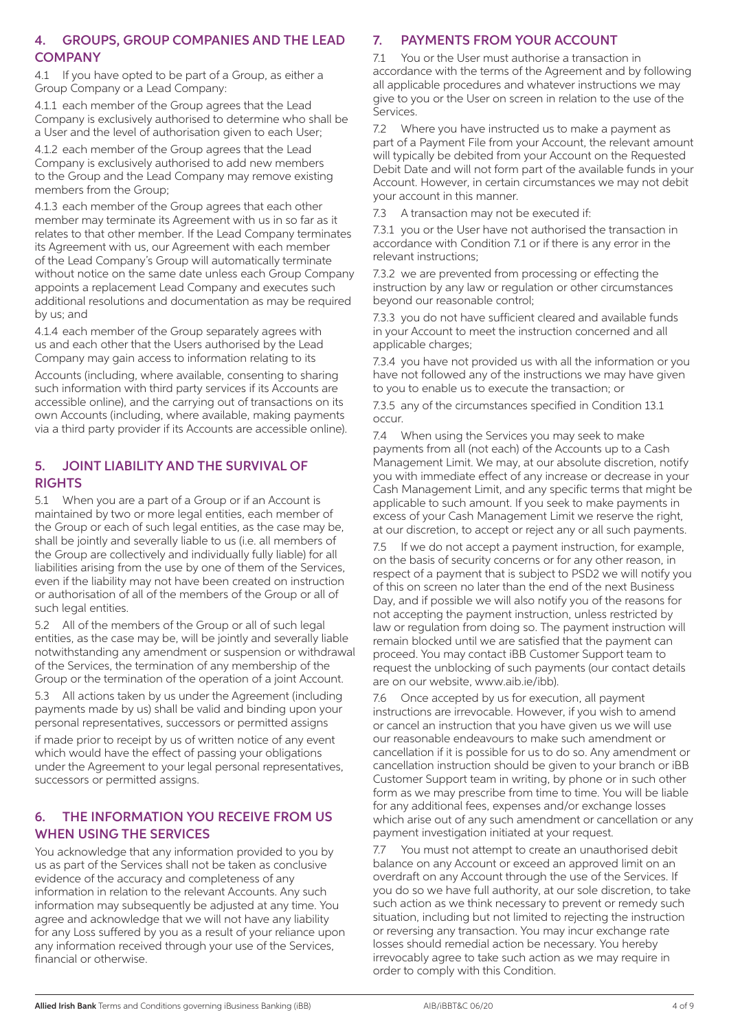#### 4. GROUPS, GROUP COMPANIES AND THE LEAD **COMPANY**

4.1 If you have opted to be part of a Group, as either a Group Company or a Lead Company:

4.1.1 each member of the Group agrees that the Lead Company is exclusively authorised to determine who shall be a User and the level of authorisation given to each User;

4.1.2 each member of the Group agrees that the Lead Company is exclusively authorised to add new members to the Group and the Lead Company may remove existing members from the Group;

4.1.3 each member of the Group agrees that each other member may terminate its Agreement with us in so far as it relates to that other member. If the Lead Company terminates its Agreement with us, our Agreement with each member of the Lead Company's Group will automatically terminate without notice on the same date unless each Group Company appoints a replacement Lead Company and executes such additional resolutions and documentation as may be required by us; and

4.1.4 each member of the Group separately agrees with us and each other that the Users authorised by the Lead Company may gain access to information relating to its

Accounts (including, where available, consenting to sharing such information with third party services if its Accounts are accessible online), and the carrying out of transactions on its own Accounts (including, where available, making payments via a third party provider if its Accounts are accessible online).

#### 5. JOINT LIABILITY AND THE SURVIVAL OF **RIGHTS**

5.1 When you are a part of a Group or if an Account is maintained by two or more legal entities, each member of the Group or each of such legal entities, as the case may be, shall be jointly and severally liable to us (i.e. all members of the Group are collectively and individually fully liable) for all liabilities arising from the use by one of them of the Services, even if the liability may not have been created on instruction or authorisation of all of the members of the Group or all of such legal entities.

5.2 All of the members of the Group or all of such legal entities, as the case may be, will be jointly and severally liable notwithstanding any amendment or suspension or withdrawal of the Services, the termination of any membership of the Group or the termination of the operation of a joint Account.

5.3 All actions taken by us under the Agreement (including payments made by us) shall be valid and binding upon your personal representatives, successors or permitted assigns

if made prior to receipt by us of written notice of any event which would have the effect of passing your obligations under the Agreement to your legal personal representatives, successors or permitted assigns.

#### 6. THE INFORMATION YOU RECEIVE FROM US WHEN USING THE SERVICES

You acknowledge that any information provided to you by us as part of the Services shall not be taken as conclusive evidence of the accuracy and completeness of any information in relation to the relevant Accounts. Any such information may subsequently be adjusted at any time. You agree and acknowledge that we will not have any liability for any Loss suffered by you as a result of your reliance upon any information received through your use of the Services, financial or otherwise.

# 7. PAYMENTS FROM YOUR ACCOUNT

7.1 You or the User must authorise a transaction in accordance with the terms of the Agreement and by following all applicable procedures and whatever instructions we may give to you or the User on screen in relation to the use of the **Services** 

7.2 Where you have instructed us to make a payment as part of a Payment File from your Account, the relevant amount will typically be debited from your Account on the Requested Debit Date and will not form part of the available funds in your Account. However, in certain circumstances we may not debit your account in this manner.

7.3 A transaction may not be executed if:

7.3.1 you or the User have not authorised the transaction in accordance with Condition 7.1 or if there is any error in the relevant instructions;

7.3.2 we are prevented from processing or effecting the instruction by any law or regulation or other circumstances beyond our reasonable control;

7.3.3 you do not have sufficient cleared and available funds in your Account to meet the instruction concerned and all applicable charges;

7.3.4 you have not provided us with all the information or you have not followed any of the instructions we may have given to you to enable us to execute the transaction; or

7.3.5 any of the circumstances specified in Condition 13.1 occur.

7.4 When using the Services you may seek to make payments from all (not each) of the Accounts up to a Cash Management Limit. We may, at our absolute discretion, notify you with immediate effect of any increase or decrease in your Cash Management Limit, and any specific terms that might be applicable to such amount. If you seek to make payments in excess of your Cash Management Limit we reserve the right, at our discretion, to accept or reject any or all such payments.

7.5 If we do not accept a payment instruction, for example, on the basis of security concerns or for any other reason, in respect of a payment that is subject to PSD2 we will notify you of this on screen no later than the end of the next Business Day, and if possible we will also notify you of the reasons for not accepting the payment instruction, unless restricted by law or regulation from doing so. The payment instruction will remain blocked until we are satisfied that the payment can proceed. You may contact iBB Customer Support team to request the unblocking of such payments (our contact details are on our website, www.aib.ie/ibb).

7.6 Once accepted by us for execution, all payment instructions are irrevocable. However, if you wish to amend or cancel an instruction that you have given us we will use our reasonable endeavours to make such amendment or cancellation if it is possible for us to do so. Any amendment or cancellation instruction should be given to your branch or iBB Customer Support team in writing, by phone or in such other form as we may prescribe from time to time. You will be liable for any additional fees, expenses and/or exchange losses which arise out of any such amendment or cancellation or any payment investigation initiated at your request.

7.7 You must not attempt to create an unauthorised debit balance on any Account or exceed an approved limit on an overdraft on any Account through the use of the Services. If you do so we have full authority, at our sole discretion, to take such action as we think necessary to prevent or remedy such situation, including but not limited to rejecting the instruction or reversing any transaction. You may incur exchange rate losses should remedial action be necessary. You hereby irrevocably agree to take such action as we may require in order to comply with this Condition.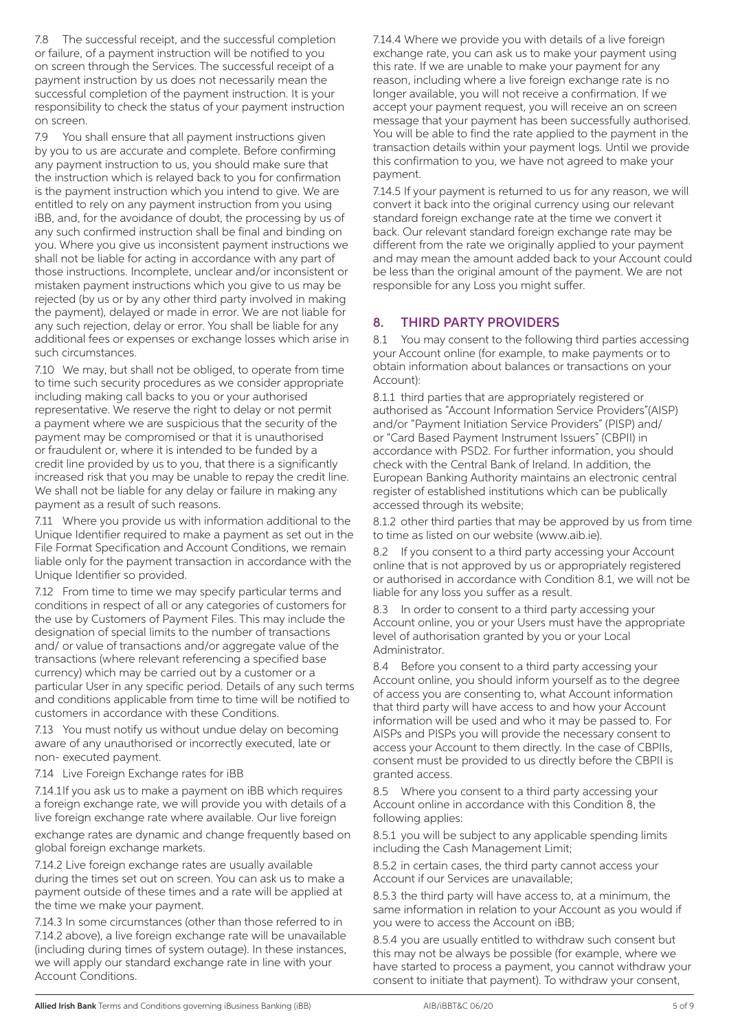7.8 The successful receipt, and the successful completion or failure, of a payment instruction will be notified to you on screen through the Services. The successful receipt of a payment instruction by us does not necessarily mean the successful completion of the payment instruction. It is your responsibility to check the status of your payment instruction on screen.

7.9 You shall ensure that all payment instructions given by you to us are accurate and complete. Before confirming any payment instruction to us, you should make sure that the instruction which is relayed back to you for confirmation is the payment instruction which you intend to give. We are entitled to rely on any payment instruction from you using iBB, and, for the avoidance of doubt, the processing by us of any such confirmed instruction shall be final and binding on you. Where you give us inconsistent payment instructions we shall not be liable for acting in accordance with any part of those instructions. Incomplete, unclear and/or inconsistent or mistaken payment instructions which you give to us may be rejected (by us or by any other third party involved in making the payment), delayed or made in error. We are not liable for any such rejection, delay or error. You shall be liable for any additional fees or expenses or exchange losses which arise in such circumstances.

7.10 We may, but shall not be obliged, to operate from time to time such security procedures as we consider appropriate including making call backs to you or your authorised representative. We reserve the right to delay or not permit a payment where we are suspicious that the security of the payment may be compromised or that it is unauthorised or fraudulent or, where it is intended to be funded by a credit line provided by us to you, that there is a significantly increased risk that you may be unable to repay the credit line. We shall not be liable for any delay or failure in making any payment as a result of such reasons.

7.11 Where you provide us with information additional to the Unique Identifier required to make a payment as set out in the File Format Specification and Account Conditions, we remain liable only for the payment transaction in accordance with the Unique Identifier so provided.

7.12 From time to time we may specify particular terms and conditions in respect of all or any categories of customers for the use by Customers of Payment Files. This may include the designation of special limits to the number of transactions and/ or value of transactions and/or aggregate value of the transactions (where relevant referencing a specified base currency) which may be carried out by a customer or a particular User in any specific period. Details of any such terms and conditions applicable from time to time will be notified to customers in accordance with these Conditions.

7.13 You must notify us without undue delay on becoming aware of any unauthorised or incorrectly executed, late or non- executed payment.

7.14 Live Foreign Exchange rates for iBB

7.14.1If you ask us to make a payment on iBB which requires a foreign exchange rate, we will provide you with details of a live foreign exchange rate where available. Our live foreign exchange rates are dynamic and change frequently based on global foreign exchange markets.

7.14.2 Live foreign exchange rates are usually available during the times set out on screen. You can ask us to make a payment outside of these times and a rate will be applied at the time we make your payment.

7.14.3 In some circumstances (other than those referred to in 7.14.2 above), a live foreign exchange rate will be unavailable (including during times of system outage). In these instances, we will apply our standard exchange rate in line with your Account Conditions.

7.14.4 Where we provide you with details of a live foreign exchange rate, you can ask us to make your payment using this rate. If we are unable to make your payment for any reason, including where a live foreign exchange rate is no longer available, you will not receive a confirmation. If we accept your payment request, you will receive an on screen message that your payment has been successfully authorised. You will be able to find the rate applied to the payment in the transaction details within your payment logs. Until we provide this confirmation to you, we have not agreed to make your payment.

7.14.5 If your payment is returned to us for any reason, we will convert it back into the original currency using our relevant standard foreign exchange rate at the time we convert it back. Our relevant standard foreign exchange rate may be different from the rate we originally applied to your payment and may mean the amount added back to your Account could be less than the original amount of the payment. We are not responsible for any Loss you might suffer.

# 8. THIRD PARTY PROVIDERS

8.1 You may consent to the following third parties accessing your Account online (for example, to make payments or to obtain information about balances or transactions on your Account):

8.1.1 third parties that are appropriately registered or authorised as "Account Information Service Providers"(AISP) and/or "Payment Initiation Service Providers" (PISP) and/ or "Card Based Payment Instrument Issuers" (CBPII) in accordance with PSD2. For further information, you should check with the Central Bank of Ireland. In addition, the European Banking Authority maintains an electronic central register of established institutions which can be publically accessed through its website;

8.1.2 other third parties that may be approved by us from time to time as listed on our website (www.aib.ie).

8.2 If you consent to a third party accessing your Account online that is not approved by us or appropriately registered or authorised in accordance with Condition 8.1, we will not be liable for any loss you suffer as a result.

8.3 In order to consent to a third party accessing your Account online, you or your Users must have the appropriate level of authorisation granted by you or your Local Administrator.

8.4 Before you consent to a third party accessing your Account online, you should inform yourself as to the degree of access you are consenting to, what Account information that third party will have access to and how your Account information will be used and who it may be passed to. For AISPs and PISPs you will provide the necessary consent to access your Account to them directly. In the case of CBPIIs, consent must be provided to us directly before the CBPII is granted access.

8.5 Where you consent to a third party accessing your Account online in accordance with this Condition 8, the following applies:

8.5.1 you will be subject to any applicable spending limits including the Cash Management Limit;

8.5.2 in certain cases, the third party cannot access your Account if our Services are unavailable;

8.5.3 the third party will have access to, at a minimum, the same information in relation to your Account as you would if you were to access the Account on iBB;

8.5.4 you are usually entitled to withdraw such consent but this may not be always be possible (for example, where we have started to process a payment, you cannot withdraw your consent to initiate that payment). To withdraw your consent,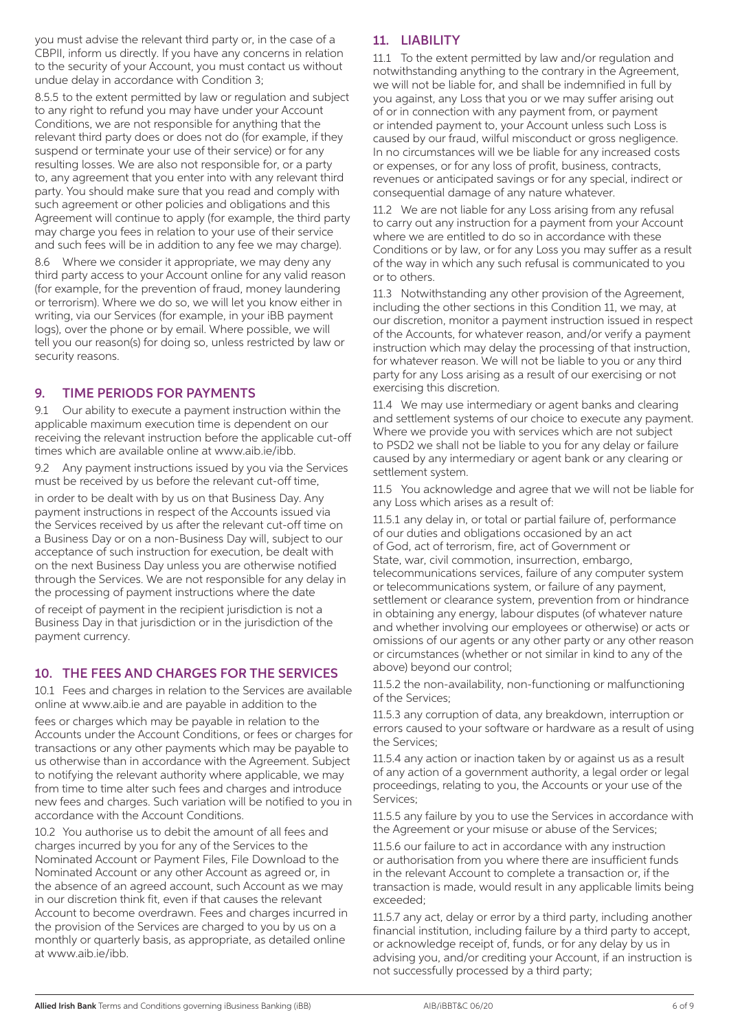you must advise the relevant third party or, in the case of a CBPII, inform us directly. If you have any concerns in relation to the security of your Account, you must contact us without undue delay in accordance with Condition 3;

8.5.5 to the extent permitted by law or regulation and subject to any right to refund you may have under your Account Conditions, we are not responsible for anything that the relevant third party does or does not do (for example, if they suspend or terminate your use of their service) or for any resulting losses. We are also not responsible for, or a party to, any agreement that you enter into with any relevant third party. You should make sure that you read and comply with such agreement or other policies and obligations and this Agreement will continue to apply (for example, the third party may charge you fees in relation to your use of their service and such fees will be in addition to any fee we may charge).

8.6 Where we consider it appropriate, we may deny any third party access to your Account online for any valid reason (for example, for the prevention of fraud, money laundering or terrorism). Where we do so, we will let you know either in writing, via our Services (for example, in your iBB payment logs), over the phone or by email. Where possible, we will tell you our reason(s) for doing so, unless restricted by law or security reasons.

#### 9. TIME PERIODS FOR PAYMENTS

9.1 Our ability to execute a payment instruction within the applicable maximum execution time is dependent on our receiving the relevant instruction before the applicable cut-off times which are available online at www.aib.ie/ibb.

9.2 Any payment instructions issued by you via the Services must be received by us before the relevant cut-off time,

in order to be dealt with by us on that Business Day. Any payment instructions in respect of the Accounts issued via the Services received by us after the relevant cut-off time on a Business Day or on a non-Business Day will, subject to our acceptance of such instruction for execution, be dealt with on the next Business Day unless you are otherwise notified through the Services. We are not responsible for any delay in the processing of payment instructions where the date

of receipt of payment in the recipient jurisdiction is not a Business Day in that jurisdiction or in the jurisdiction of the payment currency.

# 10. THE FEES AND CHARGES FOR THE SERVICES

10.1 Fees and charges in relation to the Services are available online at www.aib.ie and are payable in addition to the

fees or charges which may be payable in relation to the Accounts under the Account Conditions, or fees or charges for transactions or any other payments which may be payable to us otherwise than in accordance with the Agreement. Subject to notifying the relevant authority where applicable, we may from time to time alter such fees and charges and introduce new fees and charges. Such variation will be notified to you in accordance with the Account Conditions.

10.2 You authorise us to debit the amount of all fees and charges incurred by you for any of the Services to the Nominated Account or Payment Files, File Download to the Nominated Account or any other Account as agreed or, in the absence of an agreed account, such Account as we may in our discretion think fit, even if that causes the relevant Account to become overdrawn. Fees and charges incurred in the provision of the Services are charged to you by us on a monthly or quarterly basis, as appropriate, as detailed online at www.aib.ie/ibb.

# 11. LIABILITY

11.1 To the extent permitted by law and/or regulation and notwithstanding anything to the contrary in the Agreement, we will not be liable for, and shall be indemnified in full by you against, any Loss that you or we may suffer arising out of or in connection with any payment from, or payment or intended payment to, your Account unless such Loss is caused by our fraud, wilful misconduct or gross negligence. In no circumstances will we be liable for any increased costs or expenses, or for any loss of profit, business, contracts, revenues or anticipated savings or for any special, indirect or consequential damage of any nature whatever.

11.2 We are not liable for any Loss arising from any refusal to carry out any instruction for a payment from your Account where we are entitled to do so in accordance with these Conditions or by law, or for any Loss you may suffer as a result of the way in which any such refusal is communicated to you or to others.

11.3 Notwithstanding any other provision of the Agreement, including the other sections in this Condition 11, we may, at our discretion, monitor a payment instruction issued in respect of the Accounts, for whatever reason, and/or verify a payment instruction which may delay the processing of that instruction, for whatever reason. We will not be liable to you or any third party for any Loss arising as a result of our exercising or not exercising this discretion.

11.4 We may use intermediary or agent banks and clearing and settlement systems of our choice to execute any payment. Where we provide you with services which are not subject to PSD2 we shall not be liable to you for any delay or failure caused by any intermediary or agent bank or any clearing or settlement system.

11.5 You acknowledge and agree that we will not be liable for any Loss which arises as a result of:

11.5.1 any delay in, or total or partial failure of, performance of our duties and obligations occasioned by an act of God, act of terrorism, fire, act of Government or State, war, civil commotion, insurrection, embargo, telecommunications services, failure of any computer system or telecommunications system, or failure of any payment, settlement or clearance system, prevention from or hindrance in obtaining any energy, labour disputes (of whatever nature and whether involving our employees or otherwise) or acts or omissions of our agents or any other party or any other reason or circumstances (whether or not similar in kind to any of the above) beyond our control;

11.5.2 the non-availability, non-functioning or malfunctioning of the Services;

11.5.3 any corruption of data, any breakdown, interruption or errors caused to your software or hardware as a result of using the Services;

11.5.4 any action or inaction taken by or against us as a result of any action of a government authority, a legal order or legal proceedings, relating to you, the Accounts or your use of the Services;

11.5.5 any failure by you to use the Services in accordance with the Agreement or your misuse or abuse of the Services;

11.5.6 our failure to act in accordance with any instruction or authorisation from you where there are insufficient funds in the relevant Account to complete a transaction or, if the transaction is made, would result in any applicable limits being exceeded;

11.5.7 any act, delay or error by a third party, including another financial institution, including failure by a third party to accept, or acknowledge receipt of, funds, or for any delay by us in advising you, and/or crediting your Account, if an instruction is not successfully processed by a third party;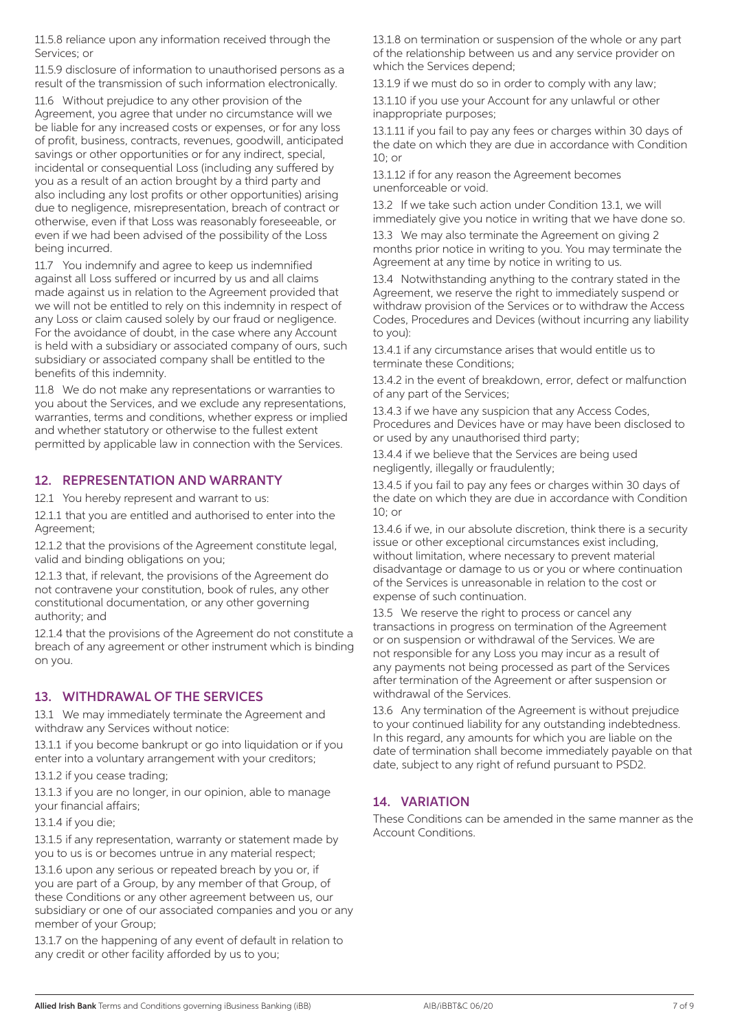11.5.8 reliance upon any information received through the Services; or

11.5.9 disclosure of information to unauthorised persons as a result of the transmission of such information electronically.

11.6 Without prejudice to any other provision of the Agreement, you agree that under no circumstance will we be liable for any increased costs or expenses, or for any loss of profit, business, contracts, revenues, goodwill, anticipated savings or other opportunities or for any indirect, special, incidental or consequential Loss (including any suffered by you as a result of an action brought by a third party and also including any lost profits or other opportunities) arising due to negligence, misrepresentation, breach of contract or otherwise, even if that Loss was reasonably foreseeable, or even if we had been advised of the possibility of the Loss being incurred.

11.7 You indemnify and agree to keep us indemnified against all Loss suffered or incurred by us and all claims made against us in relation to the Agreement provided that we will not be entitled to rely on this indemnity in respect of any Loss or claim caused solely by our fraud or negligence. For the avoidance of doubt, in the case where any Account is held with a subsidiary or associated company of ours, such subsidiary or associated company shall be entitled to the benefits of this indemnity.

11.8 We do not make any representations or warranties to you about the Services, and we exclude any representations, warranties, terms and conditions, whether express or implied and whether statutory or otherwise to the fullest extent permitted by applicable law in connection with the Services.

#### 12. REPRESENTATION AND WARRANTY

12.1 You hereby represent and warrant to us:

12.1.1 that you are entitled and authorised to enter into the Agreement;

12.1.2 that the provisions of the Agreement constitute legal, valid and binding obligations on you;

12.1.3 that, if relevant, the provisions of the Agreement do not contravene your constitution, book of rules, any other constitutional documentation, or any other governing authority; and

12.1.4 that the provisions of the Agreement do not constitute a breach of any agreement or other instrument which is binding on you.

#### 13. WITHDRAWAL OF THE SERVICES

13.1 We may immediately terminate the Agreement and withdraw any Services without notice:

13.1.1 if you become bankrupt or go into liquidation or if you enter into a voluntary arrangement with your creditors;

13.1.2 if you cease trading;

13.1.3 if you are no longer, in our opinion, able to manage your financial affairs;

13.1.4 if you die;

13.1.5 if any representation, warranty or statement made by you to us is or becomes untrue in any material respect;

13.1.6 upon any serious or repeated breach by you or, if you are part of a Group, by any member of that Group, of these Conditions or any other agreement between us, our subsidiary or one of our associated companies and you or any member of your Group;

13.1.7 on the happening of any event of default in relation to any credit or other facility afforded by us to you;

13.1.8 on termination or suspension of the whole or any part of the relationship between us and any service provider on which the Services depend;

13.1.9 if we must do so in order to comply with any law;

13.1.10 if you use your Account for any unlawful or other inappropriate purposes;

13.1.11 if you fail to pay any fees or charges within 30 days of the date on which they are due in accordance with Condition  $10<sup>0</sup>$  or

13.1.12 if for any reason the Agreement becomes unenforceable or void.

13.2 If we take such action under Condition 13.1, we will immediately give you notice in writing that we have done so.

13.3 We may also terminate the Agreement on giving 2 months prior notice in writing to you. You may terminate the Agreement at any time by notice in writing to us.

13.4 Notwithstanding anything to the contrary stated in the Agreement, we reserve the right to immediately suspend or withdraw provision of the Services or to withdraw the Access Codes, Procedures and Devices (without incurring any liability to you):

13.4.1 if any circumstance arises that would entitle us to terminate these Conditions;

13.4.2 in the event of breakdown, error, defect or malfunction of any part of the Services;

13.4.3 if we have any suspicion that any Access Codes, Procedures and Devices have or may have been disclosed to or used by any unauthorised third party;

13.4.4 if we believe that the Services are being used negligently, illegally or fraudulently;

13.4.5 if you fail to pay any fees or charges within 30 days of the date on which they are due in accordance with Condition 10; or

13.4.6 if we, in our absolute discretion, think there is a security issue or other exceptional circumstances exist including, without limitation, where necessary to prevent material disadvantage or damage to us or you or where continuation of the Services is unreasonable in relation to the cost or expense of such continuation.

13.5 We reserve the right to process or cancel any transactions in progress on termination of the Agreement or on suspension or withdrawal of the Services. We are not responsible for any Loss you may incur as a result of any payments not being processed as part of the Services after termination of the Agreement or after suspension or withdrawal of the Services.

13.6 Any termination of the Agreement is without prejudice to your continued liability for any outstanding indebtedness. In this regard, any amounts for which you are liable on the date of termination shall become immediately payable on that date, subject to any right of refund pursuant to PSD2.

# 14. VARIATION

These Conditions can be amended in the same manner as the Account Conditions.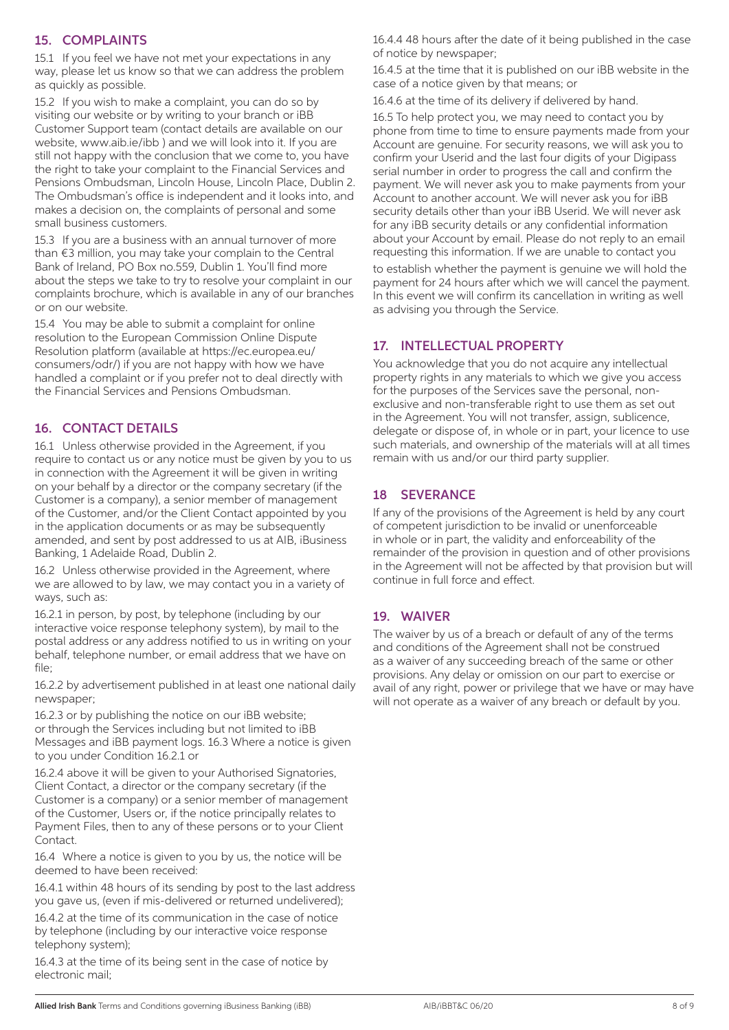#### 15. COMPLAINTS

15.1 If you feel we have not met your expectations in any way, please let us know so that we can address the problem as quickly as possible.

15.2 If you wish to make a complaint, you can do so by visiting our website or by writing to your branch or iBB Customer Support team (contact details are available on our website, www.aib.ie/ibb ) and we will look into it. If you are still not happy with the conclusion that we come to, you have the right to take your complaint to the Financial Services and Pensions Ombudsman, Lincoln House, Lincoln Place, Dublin 2. The Ombudsman's office is independent and it looks into, and makes a decision on, the complaints of personal and some small business customers.

15.3 If you are a business with an annual turnover of more than €3 million, you may take your complain to the Central Bank of Ireland, PO Box no.559, Dublin 1. You'll find more about the steps we take to try to resolve your complaint in our complaints brochure, which is available in any of our branches or on our website.

15.4 You may be able to submit a complaint for online resolution to the European Commission Online Dispute Resolution platform (available at https://ec.europea.eu/ consumers/odr/) if you are not happy with how we have handled a complaint or if you prefer not to deal directly with the Financial Services and Pensions Ombudsman.

#### 16. CONTACT DETAILS

16.1 Unless otherwise provided in the Agreement, if you require to contact us or any notice must be given by you to us in connection with the Agreement it will be given in writing on your behalf by a director or the company secretary (if the Customer is a company), a senior member of management of the Customer, and/or the Client Contact appointed by you in the application documents or as may be subsequently amended, and sent by post addressed to us at AIB, iBusiness Banking, 1 Adelaide Road, Dublin 2.

16.2 Unless otherwise provided in the Agreement, where we are allowed to by law, we may contact you in a variety of ways, such as:

16.2.1 in person, by post, by telephone (including by our interactive voice response telephony system), by mail to the postal address or any address notified to us in writing on your behalf, telephone number, or email address that we have on file;

16.2.2 by advertisement published in at least one national daily newspaper;

16.2.3 or by publishing the notice on our iBB website; or through the Services including but not limited to iBB Messages and iBB payment logs. 16.3 Where a notice is given to you under Condition 16.2.1 or

16.2.4 above it will be given to your Authorised Signatories, Client Contact, a director or the company secretary (if the Customer is a company) or a senior member of management of the Customer, Users or, if the notice principally relates to Payment Files, then to any of these persons or to your Client Contact.

16.4 Where a notice is given to you by us, the notice will be deemed to have been received:

16.4.1 within 48 hours of its sending by post to the last address you gave us, (even if mis-delivered or returned undelivered);

16.4.2 at the time of its communication in the case of notice by telephone (including by our interactive voice response telephony system);

16.4.3 at the time of its being sent in the case of notice by electronic mail;

16.4.4 48 hours after the date of it being published in the case of notice by newspaper;

16.4.5 at the time that it is published on our iBB website in the case of a notice given by that means; or

16.4.6 at the time of its delivery if delivered by hand.

16.5 To help protect you, we may need to contact you by phone from time to time to ensure payments made from your Account are genuine. For security reasons, we will ask you to confirm your Userid and the last four digits of your Digipass serial number in order to progress the call and confirm the payment. We will never ask you to make payments from your Account to another account. We will never ask you for iBB security details other than your iBB Userid. We will never ask for any iBB security details or any confidential information about your Account by email. Please do not reply to an email requesting this information. If we are unable to contact you

to establish whether the payment is genuine we will hold the payment for 24 hours after which we will cancel the payment. In this event we will confirm its cancellation in writing as well as advising you through the Service.

# 17. INTELLECTUAL PROPERTY

You acknowledge that you do not acquire any intellectual property rights in any materials to which we give you access for the purposes of the Services save the personal, nonexclusive and non-transferable right to use them as set out in the Agreement. You will not transfer, assign, sublicence, delegate or dispose of, in whole or in part, your licence to use such materials, and ownership of the materials will at all times remain with us and/or our third party supplier.

# 18 SEVERANCE

If any of the provisions of the Agreement is held by any court of competent jurisdiction to be invalid or unenforceable in whole or in part, the validity and enforceability of the remainder of the provision in question and of other provisions in the Agreement will not be affected by that provision but will continue in full force and effect.

#### 19. WAIVER

The waiver by us of a breach or default of any of the terms and conditions of the Agreement shall not be construed as a waiver of any succeeding breach of the same or other provisions. Any delay or omission on our part to exercise or avail of any right, power or privilege that we have or may have will not operate as a waiver of any breach or default by you.